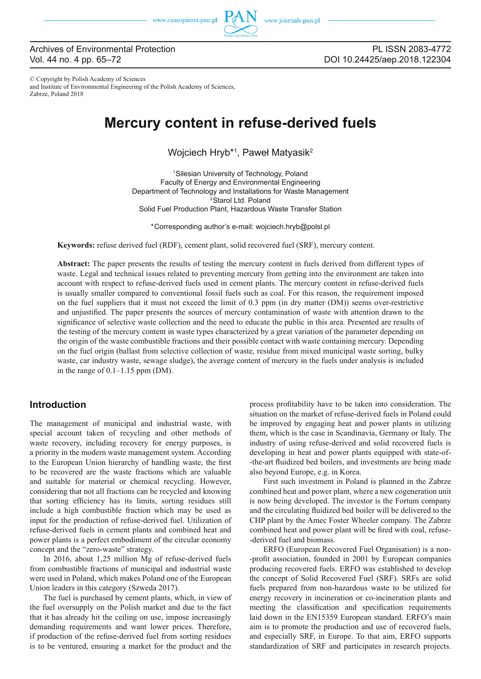

## Archives of Environmental Protection Vol. 44 no. 4 pp. 65–72

© Copyright by Polish Academy of Sciences and Institute of Environmental Engineering of the Polish Academy of Sciences, Zabrze, Poland 2018

# **Mercury content in refuse-derived fuels**

## Wojciech Hryb<sup>\*1</sup>, Paweł Matyasik<sup>2</sup>

1Silesian University of Technology, Poland Faculty of Energy and Environmental Engineering Department of Technology and Installations for Waste Management <sup>2</sup>Starol Ltd. Poland Solid Fuel Production Plant, Hazardous Waste Transfer Station

\*Corresponding author's e-mail: wojciech.hryb@polsl.pl

**Keywords:** refuse derived fuel (RDF), cement plant, solid recovered fuel (SRF), mercury content.

**Abstract:** The paper presents the results of testing the mercury content in fuels derived from different types of waste. Legal and technical issues related to preventing mercury from getting into the environment are taken into account with respect to refuse-derived fuels used in cement plants. The mercury content in refuse-derived fuels is usually smaller compared to conventional fossil fuels such as coal. For this reason, the requirement imposed on the fuel suppliers that it must not exceed the limit of 0.3 ppm (in dry matter (DM)) seems over-restrictive and unjustified. The paper presents the sources of mercury contamination of waste with attention drawn to the significance of selective waste collection and the need to educate the public in this area. Presented are results of the testing of the mercury content in waste types characterized by a great variation of the parameter depending on the origin of the waste combustible fractions and their possible contact with waste containing mercury. Depending on the fuel origin (ballast from selective collection of waste, residue from mixed municipal waste sorting, bulky waste, car industry waste, sewage sludge), the average content of mercury in the fuels under analysis is included in the range of 0.1–1.15 ppm (DM).

## **Introduction**

The management of municipal and industrial waste, with special account taken of recycling and other methods of waste recovery, including recovery for energy purposes, is a priority in the modern waste management system. According to the European Union hierarchy of handling waste, the first to be recovered are the waste fractions which are valuable and suitable for material or chemical recycling. However, considering that not all fractions can be recycled and knowing that sorting efficiency has its limits, sorting residues still include a high combustible fraction which may be used as input for the production of refuse-derived fuel. Utilization of refuse-derived fuels in cement plants and combined heat and power plants is a perfect embodiment of the circular economy concept and the "zero-waste" strategy.

In 2016, about 1,25 million Mg of refuse-derived fuels from combustible fractions of municipal and industrial waste were used in Poland, which makes Poland one of the European Union leaders in this category (Szweda 2017).

The fuel is purchased by cement plants, which, in view of the fuel oversupply on the Polish market and due to the fact that it has already hit the ceiling on use, impose increasingly demanding requirements and want lower prices. Therefore, if production of the refuse-derived fuel from sorting residues is to be ventured, ensuring a market for the product and the

process profitability have to be taken into consideration. The situation on the market of refuse-derived fuels in Poland could be improved by engaging heat and power plants in utilizing them, which is the case in Scandinavia, Germany or Italy. The industry of using refuse-derived and solid recovered fuels is developing in heat and power plants equipped with state-of- -the-art fluidized bed boilers, and investments are being made also beyond Europe, e.g. in Korea.

First such investment in Poland is planned in the Zabrze combined heat and power plant, where a new cogeneration unit is now being developed. The investor is the Fortum company and the circulating fluidized bed boiler will be delivered to the CHP plant by the Amec Foster Wheeler company. The Zabrze combined heat and power plant will be fired with coal, refuse--derived fuel and biomass.

ERFO (European Recovered Fuel Organisation) is a non- -profit association, founded in 2001 by European companies producing recovered fuels. ERFO was established to develop the concept of Solid Recovered Fuel (SRF). SRFs are solid fuels prepared from non-hazardous waste to be utilized for energy recovery in incineration or co-incineration plants and meeting the classification and specification requirements laid down in the EN15359 European standard. ERFO's main aim is to promote the production and use of recovered fuels, and especially SRF, in Europe. To that aim, ERFO supports standardization of SRF and participates in research projects.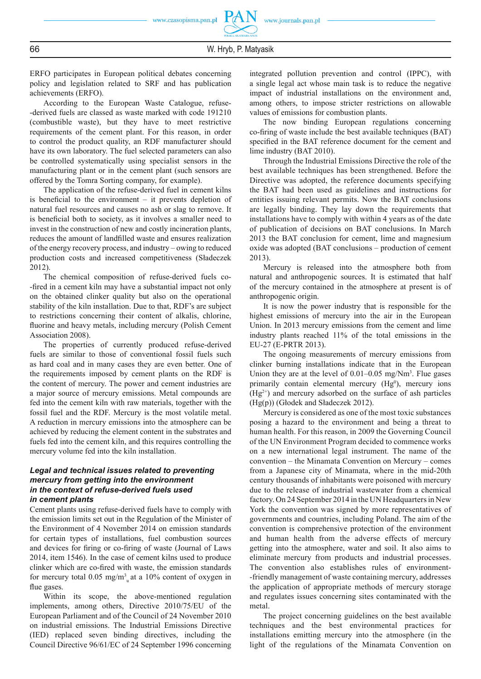ERFO participates in European political debates concerning policy and legislation related to SRF and has publication achievements (ERFO).

According to the European Waste Catalogue, refuse- -derived fuels are classed as waste marked with code 191210 (combustible waste), but they have to meet restrictive requirements of the cement plant. For this reason, in order to control the product quality, an RDF manufacturer should have its own laboratory. The fuel selected parameters can also be controlled systematically using specialist sensors in the manufacturing plant or in the cement plant (such sensors are offered by the Tomra Sorting company, for example).

The application of the refuse-derived fuel in cement kilns is beneficial to the environment  $-$  it prevents depletion of natural fuel resources and causes no ash or slag to remove. It is beneficial both to society, as it involves a smaller need to invest in the construction of new and costly incineration plants, reduces the amount of landfilled waste and ensures realization of the energy recovery process, and industry – owing to reduced production costs and increased competitiveness (Sładeczek 2012).

The chemical composition of refuse-derived fuels co- -fired in a cement kiln may have a substantial impact not only on the obtained clinker quality but also on the operational stability of the kiln installation. Due to that, RDF's are subject to restrictions concerning their content of alkalis, chlorine, fluorine and heavy metals, including mercury (Polish Cement Association 2008).

The properties of currently produced refuse-derived fuels are similar to those of conventional fossil fuels such as hard coal and in many cases they are even better. One of the requirements imposed by cement plants on the RDF is the content of mercury. The power and cement industries are a major source of mercury emissions. Metal compounds are fed into the cement kiln with raw materials, together with the fossil fuel and the RDF. Mercury is the most volatile metal. A reduction in mercury emissions into the atmosphere can be achieved by reducing the element content in the substrates and fuels fed into the cement kiln, and this requires controlling the mercury volume fed into the kiln installation.

#### *Legal and technical issues related to preventing mercury from getting into the environment in the context of refuse-derived fuels used in cement plants*

Cement plants using refuse-derived fuels have to comply with the emission limits set out in the Regulation of the Minister of the Environment of 4 November 2014 on emission standards for certain types of installations, fuel combustion sources and devices for firing or co-firing of waste (Journal of Laws 2014, item 1546). In the case of cement kilns used to produce clinker which are co-fired with waste, the emission standards for mercury total  $0.05$  mg/m<sup>3</sup><sub>u</sub> at a 10% content of oxygen in flue gases.

Within its scope, the above-mentioned regulation implements, among others, Directive 2010/75/EU of the European Parliament and of the Council of 24 November 2010 on industrial emissions. The Industrial Emissions Directive (IED) replaced seven binding directives, including the Council Directive 96/61/EC of 24 September 1996 concerning

integrated pollution prevention and control (IPPC), with a single legal act whose main task is to reduce the negative impact of industrial installations on the environment and, among others, to impose stricter restrictions on allowable values of emissions for combustion plants.

The now binding European regulations concerning co-firing of waste include the best available techniques (BAT) specified in the BAT reference document for the cement and lime industry (BAT 2010).

Through the Industrial Emissions Directive the role of the best available techniques has been strengthened. Before the Directive was adopted, the reference documents specifying the BAT had been used as guidelines and instructions for entities issuing relevant permits. Now the BAT conclusions are legally binding. They lay down the requirements that installations have to comply with within 4 years as of the date of publication of decisions on BAT conclusions. In March 2013 the BAT conclusion for cement, lime and magnesium oxide was adopted (BAT conclusions – production of cement 2013).

Mercury is released into the atmosphere both from natural and anthropogenic sources. It is estimated that half of the mercury contained in the atmosphere at present is of anthropogenic origin.

It is now the power industry that is responsible for the highest emissions of mercury into the air in the European Union. In 2013 mercury emissions from the cement and lime industry plants reached 11% of the total emissions in the EU-27 (E-PRTR 2013).

The ongoing measurements of mercury emissions from clinker burning installations indicate that in the European Union they are at the level of  $0.01-0.05$  mg/Nm<sup>3</sup>. Flue gases primarily contain elemental mercury  $(Hg<sup>0</sup>)$ , mercury ions  $(Hg<sup>2+</sup>)$  and mercury adsorbed on the surface of ash particles (Hg(p)) (Głodek and Sładeczek 2012).

Mercury is considered as one of the most toxic substances posing a hazard to the environment and being a threat to human health. For this reason, in 2009 the Governing Council of the UN Environment Program decided to commence works on a new international legal instrument. The name of the convention – the Minamata Convention on Mercury – comes from a Japanese city of Minamata, where in the mid-20th century thousands of inhabitants were poisoned with mercury due to the release of industrial wastewater from a chemical factory. On 24 September 2014 in the UN Headquarters in New York the convention was signed by more representatives of governments and countries, including Poland. The aim of the convention is comprehensive protection of the environment and human health from the adverse effects of mercury getting into the atmosphere, water and soil. It also aims to eliminate mercury from products and industrial processes. The convention also establishes rules of environment- -friendly management of waste containing mercury, addresses the application of appropriate methods of mercury storage and regulates issues concerning sites contaminated with the metal.

The project concerning guidelines on the best available techniques and the best environmental practices for installations emitting mercury into the atmosphere (in the light of the regulations of the Minamata Convention on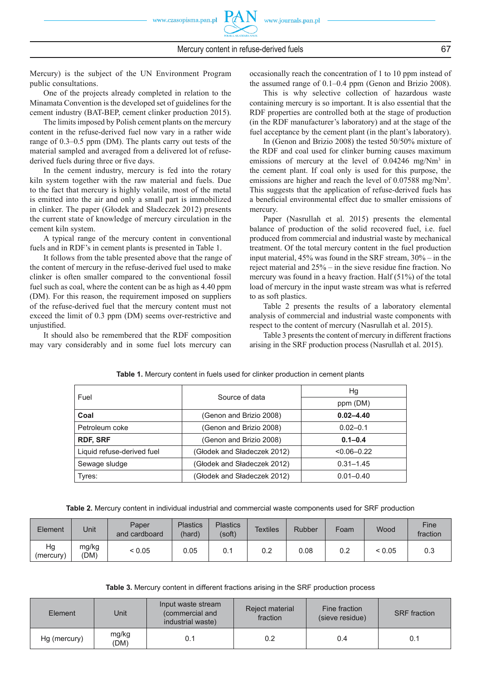Mercury) is the subject of the UN Environment Program public consultations.

One of the projects already completed in relation to the Minamata Convention is the developed set of guidelines for the cement industry (BAT-BEP, cement clinker production 2015).

The limits imposed by Polish cement plants on the mercury content in the refuse-derived fuel now vary in a rather wide range of 0.3–0.5 ppm (DM). The plants carry out tests of the material sampled and averaged from a delivered lot of refusederived fuels during three or five days.

In the cement industry, mercury is fed into the rotary kiln system together with the raw material and fuels. Due to the fact that mercury is highly volatile, most of the metal is emitted into the air and only a small part is immobilized in clinker. The paper (Głodek and Sładeczek 2012) presents the current state of knowledge of mercury circulation in the cement kiln system.

A typical range of the mercury content in conventional fuels and in RDF's in cement plants is presented in Table 1.

It follows from the table presented above that the range of the content of mercury in the refuse-derived fuel used to make clinker is often smaller compared to the conventional fossil fuel such as coal, where the content can be as high as 4.40 ppm (DM). For this reason, the requirement imposed on suppliers of the refuse-derived fuel that the mercury content must not exceed the limit of 0.3 ppm (DM) seems over-restrictive and unjustified.

It should also be remembered that the RDF composition may vary considerably and in some fuel lots mercury can occasionally reach the concentration of 1 to 10 ppm instead of the assumed range of 0.1–0.4 ppm (Genon and Brizio 2008).

This is why selective collection of hazardous waste containing mercury is so important. It is also essential that the RDF properties are controlled both at the stage of production (in the RDF manufacturer's laboratory) and at the stage of the fuel acceptance by the cement plant (in the plant's laboratory).

In (Genon and Brizio 2008) the tested 50/50% mixture of the RDF and coal used for clinker burning causes maximum emissions of mercury at the level of  $0.04246$  mg/Nm<sup>3</sup> in the cement plant. If coal only is used for this purpose, the emissions are higher and reach the level of 0.07588 mg/Nm<sup>3</sup>. This suggests that the application of refuse-derived fuels has a beneficial environmental effect due to smaller emissions of mercury.

Paper (Nasrullah et al. 2015) presents the elemental balance of production of the solid recovered fuel, i.e. fuel produced from commercial and industrial waste by mechanical treatment. Of the total mercury content in the fuel production input material, 45% was found in the SRF stream, 30% – in the reject material and  $25%$  – in the sieve residue fine fraction. No mercury was found in a heavy fraction. Half (51%) of the total load of mercury in the input waste stream was what is referred to as soft plastics.

Table 2 presents the results of a laboratory elemental analysis of commercial and industrial waste components with respect to the content of mercury (Nasrullah et al. 2015).

Table 3 presents the content of mercury in different fractions arising in the SRF production process (Nasrullah et al. 2015).

|                             | Hg              |  |  |
|-----------------------------|-----------------|--|--|
|                             | ppm (DM)        |  |  |
| (Genon and Brizio 2008)     | $0.02 - 4.40$   |  |  |
| (Genon and Brizio 2008)     | $0.02 - 0.1$    |  |  |
| (Genon and Brizio 2008)     | $0.1 - 0.4$     |  |  |
| (Głodek and Sładeczek 2012) | $< 0.06 - 0.22$ |  |  |
| (Głodek and Sładeczek 2012) | $0.31 - 1.45$   |  |  |
| (Głodek and Sładeczek 2012) | $0.01 - 0.40$   |  |  |
|                             | Source of data  |  |  |

**Table 1.** Mercury content in fuels used for clinker production in cement plants

**Table 2.** Mercury content in individual industrial and commercial waste components used for SRF production

| Element         | Unit          | Paper<br>and cardboard | <b>Plastics</b><br>(hard) | <b>Plastics</b><br>(soft) | <b>Textiles</b> | Rubber | Foam | Wood   | Fine<br>fraction |
|-----------------|---------------|------------------------|---------------------------|---------------------------|-----------------|--------|------|--------|------------------|
| Hg<br>(mercury) | mg/kg<br>(DM) | ${}_{0.05}$            | 0.05                      | 0.1                       | 0.2             | 0.08   | 0.2  | < 0.05 | 0.3              |

**Table 3.** Mercury content in different fractions arising in the SRF production process

| Element      | Unit          | Input waste stream<br>(commercial and<br>industrial waste) | Reject material<br>fraction | Fine fraction<br>(sieve residue) | <b>SRF</b> fraction |  |
|--------------|---------------|------------------------------------------------------------|-----------------------------|----------------------------------|---------------------|--|
| Hg (mercury) | mg/kg<br>(DM) | 0.1                                                        | 0.2                         | 0.4                              | 0.1                 |  |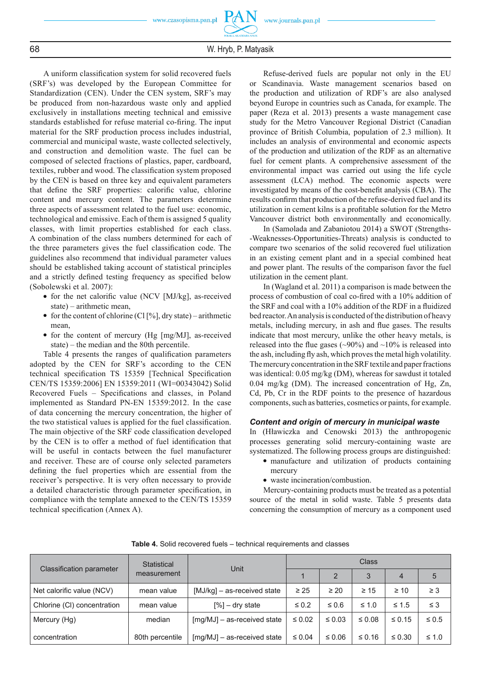A uniform classification system for solid recovered fuels (SRF's) was developed by the European Committee for Standardization (CEN). Under the CEN system, SRF's may be produced from non-hazardous waste only and applied exclusively in installations meeting technical and emissive standards established for refuse material co-firing. The input material for the SRF production process includes industrial, commercial and municipal waste, waste collected selectively, and construction and demolition waste. The fuel can be composed of selected fractions of plastics, paper, cardboard, textiles, rubber and wood. The classification system proposed by the CEN is based on three key and equivalent parameters that define the SRF properties: calorific value, chlorine content and mercury content. The parameters determine three aspects of assessment related to the fuel use: economic, technological and emissive. Each of them is assigned 5 quality classes, with limit properties established for each class. A combination of the class numbers determined for each of the three parameters gives the fuel classification code. The guidelines also recommend that individual parameter values should be established taking account of statistical principles and a strictly defined testing frequency as specified below (Sobolewski et al. 2007):

- for the net calorific value (NCV [MJ/kg], as-received state) – arithmetic mean,
- for the content of chlorine (Cl  $[\%]$ , dry state) arithmetic mean,
- for the content of mercury (Hg [mg/MJ], as-received state) – the median and the 80th percentile.

Table 4 presents the ranges of qualification parameters adopted by the CEN for SRF's according to the CEN technical specification TS 15359 [Technical Specification CEN/TS 15359:2006] EN 15359:2011 (WI=00343042) Solid Recovered Fuels – Specifications and classes, in Poland implemented as Standard PN-EN 15359:2012. In the case of data concerning the mercury concentration, the higher of the two statistical values is applied for the fuel classification. The main objective of the SRF code classification developed by the CEN is to offer a method of fuel identification that will be useful in contacts between the fuel manufacturer and receiver. These are of course only selected parameters defining the fuel properties which are essential from the receiver's perspective. It is very often necessary to provide a detailed characteristic through parameter specification, in compliance with the template annexed to the CEN/TS 15359 technical specification (Annex A).

Refuse-derived fuels are popular not only in the EU or Scandinavia. Waste management scenarios based on the production and utilization of RDF's are also analysed beyond Europe in countries such as Canada, for example. The paper (Reza et al. 2013) presents a waste management case study for the Metro Vancouver Regional District (Canadian province of British Columbia, population of 2.3 million). It includes an analysis of environmental and economic aspects of the production and utilization of the RDF as an alternative fuel for cement plants. A comprehensive assessment of the environmental impact was carried out using the life cycle assessment (LCA) method. The economic aspects were investigated by means of the cost-benefit analysis (CBA). The results confirm that production of the refuse-derived fuel and its utilization in cement kilns is a profitable solution for the Metro Vancouver district both environmentally and economically.

In (Samolada and Zabaniotou 2014) a SWOT (Strengths- -Weaknesses-Opportunities-Threats) analysis is conducted to compare two scenarios of the solid recovered fuel utilization in an existing cement plant and in a special combined heat and power plant. The results of the comparison favor the fuel utilization in the cement plant.

In (Wagland et al. 2011) a comparison is made between the process of combustion of coal co-fired with a 10% addition of the SRF and coal with a 10% addition of the RDF in a fluidized bed reactor. An analysis is conducted of the distribution of heavy metals, including mercury, in ash and flue gases. The results indicate that most mercury, unlike the other heavy metals, is released into the flue gases ( $\sim$ 90%) and  $\sim$ 10% is released into the ash, including fly ash, which proves the metal high volatility. The mercury concentration in the SRF textile and paper fractions was identical: 0.05 mg/kg (DM), whereas for sawdust it totaled 0.04 mg/kg (DM). The increased concentration of Hg, Zn, Cd, Pb, Cr in the RDF points to the presence of hazardous components, such as batteries, cosmetics or paints, for example.

#### *Content and origin of mercury in municipal waste*

In (Hławiczka and Cenowski 2013) the anthropogenic processes generating solid mercury-containing waste are systematized. The following process groups are distinguished:

- manufacture and utilization of products containing mercury
- waste incineration/combustion.

Mercury-containing products must be treated as a potential source of the metal in solid waste. Table 5 presents data concerning the consumption of mercury as a component used

| Classification parameter    | Statistical     | Unit                        | Class       |             |             |                |            |  |
|-----------------------------|-----------------|-----------------------------|-------------|-------------|-------------|----------------|------------|--|
|                             | measurement     |                             |             | 2           | 3           | $\overline{4}$ | 5          |  |
| Net calorific value (NCV)   | mean value      | [MJ/kg] – as-received state | $\geq 25$   | $\geq 20$   | $\geq 15$   | $\geq 10$      | $\geq 3$   |  |
| Chlorine (CI) concentration | mean value      | $[%]-$ dry state            | $\leq 0.2$  | $\leq 0.6$  | $\leq 1.0$  | $\leq 1.5$     | $\leq$ 3   |  |
| Mercury (Hg)                | median          | [mg/MJ] - as-received state | $\leq 0.02$ | $\leq 0.03$ | $\leq 0.08$ | $\leq 0.15$    | $\leq 0.5$ |  |
| concentration               | 80th percentile | [mg/MJ] - as-received state | $\leq 0.04$ | $\leq 0.06$ | $\leq 0.16$ | $\leq 0.30$    | $\leq 1.0$ |  |

**Table 4.** Solid recovered fuels – technical requirements and classes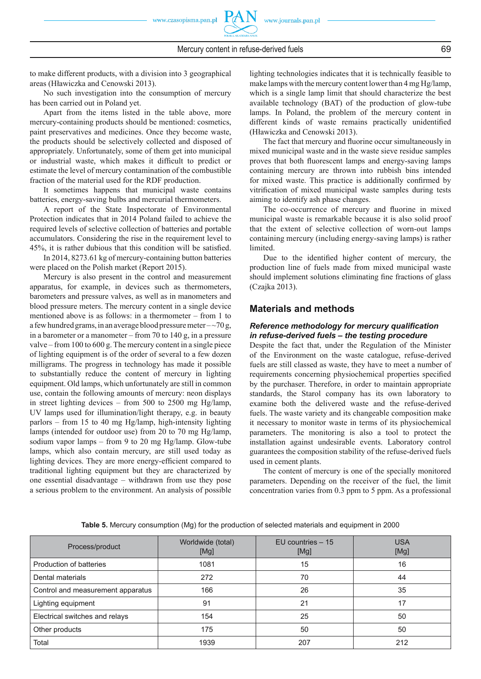to make different products, with a division into 3 geographical areas (Hławiczka and Cenowski 2013).

No such investigation into the consumption of mercury has been carried out in Poland yet.

Apart from the items listed in the table above, more mercury-containing products should be mentioned: cosmetics, paint preservatives and medicines. Once they become waste, the products should be selectively collected and disposed of appropriately. Unfortunately, some of them get into municipal or industrial waste, which makes it difficult to predict or estimate the level of mercury contamination of the combustible fraction of the material used for the RDF production.

It sometimes happens that municipal waste contains batteries, energy-saving bulbs and mercurial thermometers.

A report of the State Inspectorate of Environmental Protection indicates that in 2014 Poland failed to achieve the required levels of selective collection of batteries and portable accumulators. Considering the rise in the requirement level to  $45\%$ , it is rather dubious that this condition will be satisfied.

In 2014, 8273.61 kg of mercury-containing button batteries were placed on the Polish market (Report 2015).

Mercury is also present in the control and measurement apparatus, for example, in devices such as thermometers, barometers and pressure valves, as well as in manometers and blood pressure meters. The mercury content in a single device mentioned above is as follows: in a thermometer – from 1 to a few hundred grams, in an average blood pressure meter  $-\sim$  70 g, in a barometer or a manometer – from 70 to 140 g, in a pressure valve – from 100 to 600 g. The mercury content in a single piece of lighting equipment is of the order of several to a few dozen milligrams. The progress in technology has made it possible to substantially reduce the content of mercury in lighting equipment. Old lamps, which unfortunately are still in common use, contain the following amounts of mercury: neon displays in street lighting devices – from 500 to 2500 mg Hg/lamp, UV lamps used for illumination/light therapy, e.g. in beauty parlors – from 15 to 40 mg Hg/lamp, high-intensity lighting lamps (intended for outdoor use) from 20 to 70 mg Hg/lamp, sodium vapor lamps – from 9 to 20 mg Hg/lamp. Glow-tube lamps, which also contain mercury, are still used today as lighting devices. They are more energy-efficient compared to traditional lighting equipment but they are characterized by one essential disadvantage – withdrawn from use they pose a serious problem to the environment. An analysis of possible lighting technologies indicates that it is technically feasible to make lamps with the mercury content lower than 4 mg Hg/lamp, which is a single lamp limit that should characterize the best available technology (BAT) of the production of glow-tube lamps. In Poland, the problem of the mercury content in different kinds of waste remains practically unidentified (Hławiczka and Cenowski 2013).

The fact that mercury and fluorine occur simultaneously in mixed municipal waste and in the waste sieve residue samples proves that both fluorescent lamps and energy-saving lamps containing mercury are thrown into rubbish bins intended for mixed waste. This practice is additionally confirmed by vitrification of mixed municipal waste samples during tests aiming to identify ash phase changes.

The co-occurrence of mercury and fluorine in mixed municipal waste is remarkable because it is also solid proof that the extent of selective collection of worn-out lamps containing mercury (including energy-saving lamps) is rather limited.

Due to the identified higher content of mercury, the production line of fuels made from mixed municipal waste should implement solutions eliminating fine fractions of glass (Czajka 2013).

#### **Materials and methods**

#### **Reference methodology for mercury qualification** *in refuse-derived fuels – the testing procedure*

Despite the fact that, under the Regulation of the Minister of the Environment on the waste catalogue, refuse-derived fuels are still classed as waste, they have to meet a number of requirements concerning physiochemical properties specified by the purchaser. Therefore, in order to maintain appropriate standards, the Starol company has its own laboratory to examine both the delivered waste and the refuse-derived fuels. The waste variety and its changeable composition make it necessary to monitor waste in terms of its physiochemical parameters. The monitoring is also a tool to protect the installation against undesirable events. Laboratory control guarantees the composition stability of the refuse-derived fuels used in cement plants.

The content of mercury is one of the specially monitored parameters. Depending on the receiver of the fuel, the limit concentration varies from 0.3 ppm to 5 ppm. As a professional

| Process/product                   | Worldwide (total)<br>[Mg] | $EU$ countries $-15$<br>[Mg] | <b>USA</b><br>[Mg] |
|-----------------------------------|---------------------------|------------------------------|--------------------|
| Production of batteries           | 1081                      | 15                           | 16                 |
| Dental materials                  | 272                       | 70                           | 44                 |
| Control and measurement apparatus | 166                       | 26                           | 35                 |
| Lighting equipment                | 91                        | 21                           | 17                 |
| Electrical switches and relays    | 154                       | 25                           | 50                 |
| Other products                    | 175                       | 50                           | 50                 |
| Total                             | 1939                      | 207                          | 212                |

**Table 5.** Mercury consumption (Mg) for the production of selected materials and equipment in 2000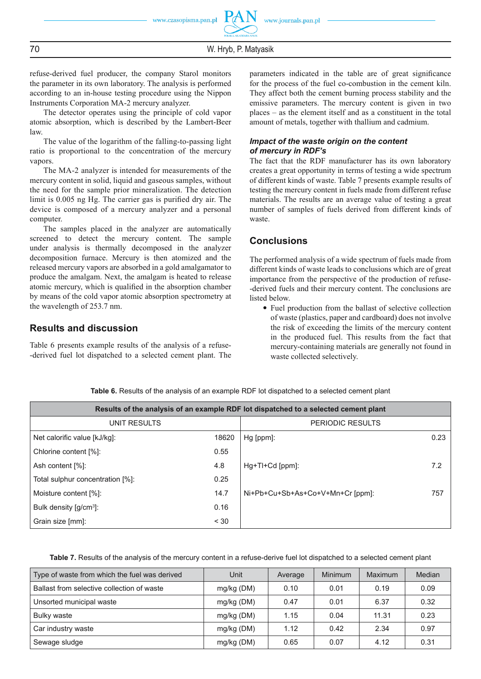refuse-derived fuel producer, the company Starol monitors the parameter in its own laboratory. The analysis is performed according to an in-house testing procedure using the Nippon Instruments Corporation MA-2 mercury analyzer.

The detector operates using the principle of cold vapor atomic absorption, which is described by the Lambert-Beer law.

The value of the logarithm of the falling-to-passing light ratio is proportional to the concentration of the mercury vapors.

The MA-2 analyzer is intended for measurements of the mercury content in solid, liquid and gaseous samples, without the need for the sample prior mineralization. The detection limit is 0.005 ng Hg. The carrier gas is purified dry air. The device is composed of a mercury analyzer and a personal computer.

The samples placed in the analyzer are automatically screened to detect the mercury content. The sample under analysis is thermally decomposed in the analyzer decomposition furnace. Mercury is then atomized and the released mercury vapors are absorbed in a gold amalgamator to produce the amalgam. Next, the amalgam is heated to release atomic mercury, which is qualified in the absorption chamber by means of the cold vapor atomic absorption spectrometry at the wavelength of 253.7 nm.

# **Results and discussion**

Table 6 presents example results of the analysis of a refuse- -derived fuel lot dispatched to a selected cement plant. The parameters indicated in the table are of great significance for the process of the fuel co-combustion in the cement kiln. They affect both the cement burning process stability and the emissive parameters. The mercury content is given in two places – as the element itself and as a constituent in the total amount of metals, together with thallium and cadmium.

#### *Impact of the waste origin on the content of mercury in RDF's*

The fact that the RDF manufacturer has its own laboratory creates a great opportunity in terms of testing a wide spectrum of different kinds of waste. Table 7 presents example results of testing the mercury content in fuels made from different refuse materials. The results are an average value of testing a great number of samples of fuels derived from different kinds of waste.

## **Conclusions**

The performed analysis of a wide spectrum of fuels made from different kinds of waste leads to conclusions which are of great importance from the perspective of the production of refuse- -derived fuels and their mercury content. The conclusions are listed below.

• Fuel production from the ballast of selective collection of waste (plastics, paper and cardboard) does not involve the risk of exceeding the limits of the mercury content in the produced fuel. This results from the fact that mercury-containing materials are generally not found in waste collected selectively.

| Results of the analysis of an example RDF lot dispatched to a selected cement plant |                  |                                  |      |  |  |  |  |
|-------------------------------------------------------------------------------------|------------------|----------------------------------|------|--|--|--|--|
| UNIT RESULTS                                                                        | PERIODIC RESULTS |                                  |      |  |  |  |  |
| Net calorific value [kJ/kq]:                                                        | 18620            | Hg [ppm]:                        | 0.23 |  |  |  |  |
| Chlorine content [%]:                                                               | 0.55             |                                  |      |  |  |  |  |
| Ash content [%]:                                                                    | 4.8              | Hg+Tl+Cd [ppm]:                  | 7.2  |  |  |  |  |
| Total sulphur concentration [%]:                                                    | 0.25             |                                  |      |  |  |  |  |
| Moisture content [%]:                                                               | 14.7             | Ni+Pb+Cu+Sb+As+Co+V+Mn+Cr [ppm]: | 757  |  |  |  |  |
| Bulk density $\left[\frac{q}{cm^3}\right]$ :                                        | 0.16             |                                  |      |  |  |  |  |
| Grain size [mm]:                                                                    | < 30             |                                  |      |  |  |  |  |

**Table 6.** Results of the analysis of an example RDF lot dispatched to a selected cement plant

**Table 7.** Results of the analysis of the mercury content in a refuse-derive fuel lot dispatched to a selected cement plant

| Type of waste from which the fuel was derived | Unit         | Average | Minimum | Maximum | Median |
|-----------------------------------------------|--------------|---------|---------|---------|--------|
| Ballast from selective collection of waste    | $mg/kg$ (DM) | 0.10    | 0.01    | 0.19    | 0.09   |
| Unsorted municipal waste                      | $mg/kg$ (DM) | 0.47    | 0.01    | 6.37    | 0.32   |
| Bulky waste                                   | $mg/kg$ (DM) | 1.15    | 0.04    | 11.31   | 0.23   |
| Car industry waste                            | $mg/kg$ (DM) | 1.12    | 0.42    | 2.34    | 0.97   |
| Sewage sludge                                 | mg/kg (DM)   | 0.65    | 0.07    | 4.12    | 0.31   |

70 W. Hryb, P. Matyasik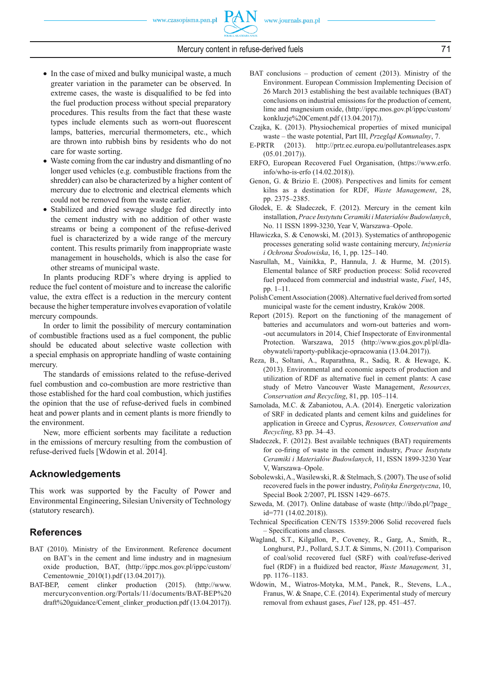- In the case of mixed and bulky municipal waste, a much greater variation in the parameter can be observed. In extreme cases, the waste is disqualified to be fed into the fuel production process without special preparatory procedures. This results from the fact that these waste types include elements such as worn-out fluorescent lamps, batteries, mercurial thermometers, etc., which are thrown into rubbish bins by residents who do not care for waste sorting.
- Waste coming from the car industry and dismantling of no longer used vehicles (e.g. combustible fractions from the shredder) can also be characterized by a higher content of mercury due to electronic and electrical elements which could not be removed from the waste earlier.
- Stabilized and dried sewage sludge fed directly into the cement industry with no addition of other waste streams or being a component of the refuse-derived fuel is characterized by a wide range of the mercury content. This results primarily from inappropriate waste management in households, which is also the case for other streams of municipal waste.

In plants producing RDF's where drying is applied to reduce the fuel content of moisture and to increase the calorific value, the extra effect is a reduction in the mercury content because the higher temperature involves evaporation of volatile mercury compounds.

In order to limit the possibility of mercury contamination of combustible fractions used as a fuel component, the public should be educated about selective waste collection with a special emphasis on appropriate handling of waste containing mercury.

The standards of emissions related to the refuse-derived fuel combustion and co-combustion are more restrictive than those established for the hard coal combustion, which justifies the opinion that the use of refuse-derived fuels in combined heat and power plants and in cement plants is more friendly to the environment.

New, more efficient sorbents may facilitate a reduction in the emissions of mercury resulting from the combustion of refuse-derived fuels [Wdowin et al. 2014].

# **Acknowledgements**

This work was supported by the Faculty of Power and Environmental Engineering, Silesian University of Technology (statutory research).

# **References**

- BAT (2010). Ministry of the Environment. Reference document on BAT's in the cement and lime industry and in magnesium oxide production, BAT, (http://ippc.mos.gov.pl/ippc/custom/ Cementownie\_2010(1).pdf (13.04.2017)).
- BAT-BEP, cement clinker production (2015). (http://www. mercuryconvention.org/Portals/11/documents/BAT-BEP%20 draft%20guidance/Cement\_clinker\_production.pdf (13.04.2017)).
- BAT conclusions production of cement (2013). Ministry of the Environment. European Commission Implementing Decision of 26 March 2013 establishing the best available techniques (BAT) conclusions on industrial emissions for the production of cement, lime and magnesium oxide, (http://ippc.mos.gov.pl/ippc/custom/ konkluzje%20Cement.pdf (13.04.2017)).
- Czajka, K. (2013). Physiochemical properties of mixed municipal waste – the waste potential, Part III, *Przegląd Komunalny*, 7.
- E-PRTR (2013). http://prtr.ec.europa.eu/pollutantreleases.aspx (05.01.2017)).
- ERFO, European Recovered Fuel Organisation, (https://www.erfo. info/who-is-erfo (14.02.2018)).
- Genon, G. & Brizio E. (2008). Perspectives and limits for cement kilns as a destination for RDF, *Waste Management*, 28, pp. 2375–2385.
- Głodek, E. & Sładeczek, F. (2012). Mercury in the cement kiln installation, *Prace Instytutu Ceramiki i Materiałów Budowlanych*, No. 11 ISSN 1899-3230, Year V, Warszawa–Opole.
- Hławiczka, S. & Cenowski, M. (2013). Systematics of anthropogenic processes generating solid waste containing mercury, *Inżynieria i Ochrona Środowiska*, 16, 1, pp. 125–140.
- Nasrullah, M., Vainikka, P., Hannula, J. & Hurme, M. (2015). Elemental balance of SRF production process: Solid recovered fuel produced from commercial and industrial waste, *Fuel*, 145, pp. 1–11.
- Polish Cement Association (2008). Alternative fuel derived from sorted municipal waste for the cement industry, Kraków 2008.
- Report (2015). Report on the functioning of the management of batteries and accumulators and worn-out batteries and worn- -out accumulators in 2014, Chief Inspectorate of Environmental Protection. Warszawa, 2015 (http://www.gios.gov.pl/pl/dlaobywateli/raporty-publikacje-opracowania (13.04.2017)).
- Reza, B., Soltani, A., Ruparathna, R., Sadiq, R. & Hewage, K. (2013). Environmental and economic aspects of production and utilization of RDF as alternative fuel in cement plants: A case study of Metro Vancouver Waste Management, *Resources, Conservation and Recycling*, 81, pp. 105–114.
- Samolada, M.C. & Zabaniotou, A.A. (2014). Energetic valorization of SRF in dedicated plants and cement kilns and guidelines for application in Greece and Cyprus, *Resources, Conservation and Recycling*, 83 pp. 34–43.
- Sładeczek, F. (2012). Best available techniques (BAT) requirements for co-firing of waste in the cement industry, *Prace Instytutu Ceramiki i Materiałów Budowlanych*, 11, ISSN 1899-3230 Year V, Warszawa–Opole.
- Sobolewski, A., Wasilewski, R. & Stelmach, S. (2007). The use of solid recovered fuels in the power industry, *Polityka Energetyczna*, 10, Special Book 2/2007, PL ISSN 1429–6675.
- Szweda, M. (2017). Online database of waste (http://ibdo.pl/?page\_ id=771 (14.02.2018)).
- Technical Specification CEN/TS 15359:2006 Solid recovered fuels – Specifications and classes.
- Wagland, S.T., Kilgallon, P., Coveney, R., Garg, A., Smith, R., Longhurst, P.J., Pollard, S.J.T. & Simms, N. (2011). Comparison of coal/solid recovered fuel (SRF) with coal/refuse-derived fuel (RDF) in a fluidized bed reactor, *Waste Management*, 31, pp. 1176–1183.
- Wdowin, M., Wiatros-Motyka, M.M., Panek, R., Stevens, L.A., Franus, W. & Snape, C.E. (2014). Experimental study of mercury removal from exhaust gases, *Fuel* 128, pp. 451–457.